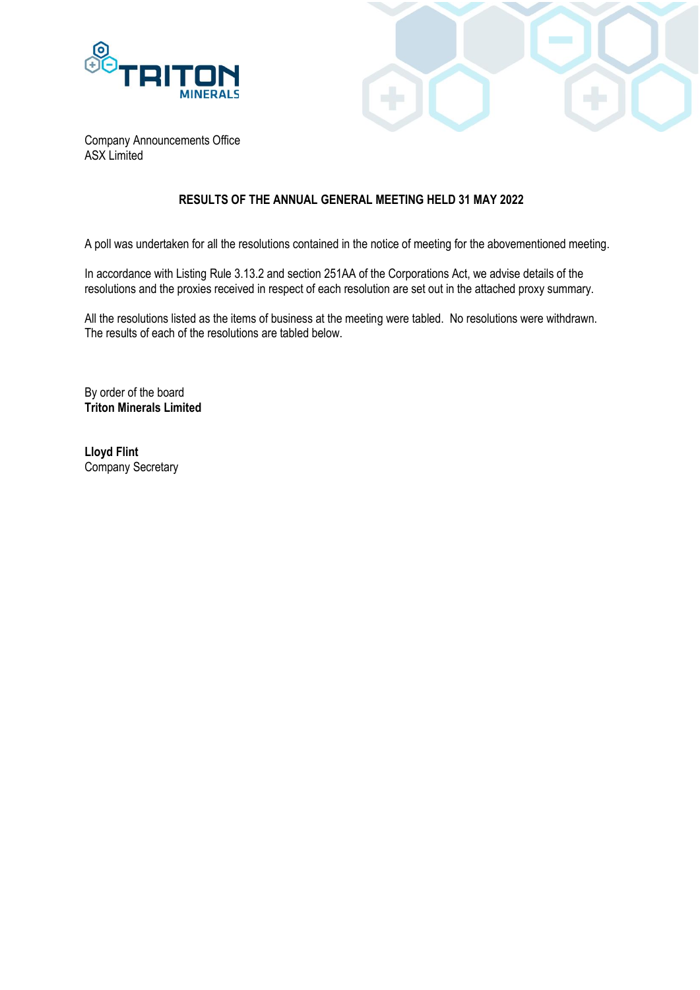



Company Announcements Office ASX Limited

## **RESULTS OF THE ANNUAL GENERAL MEETING HELD 31 MAY 2022**

A poll was undertaken for all the resolutions contained in the notice of meeting for the abovementioned meeting.

In accordance with Listing Rule 3.13.2 and section 251AA of the Corporations Act, we advise details of the resolutions and the proxies received in respect of each resolution are set out in the attached proxy summary.

All the resolutions listed as the items of business at the meeting were tabled. No resolutions were withdrawn. The results of each of the resolutions are tabled below.

By order of the board **Triton Minerals Limited**

**Lloyd Flint** Company Secretary